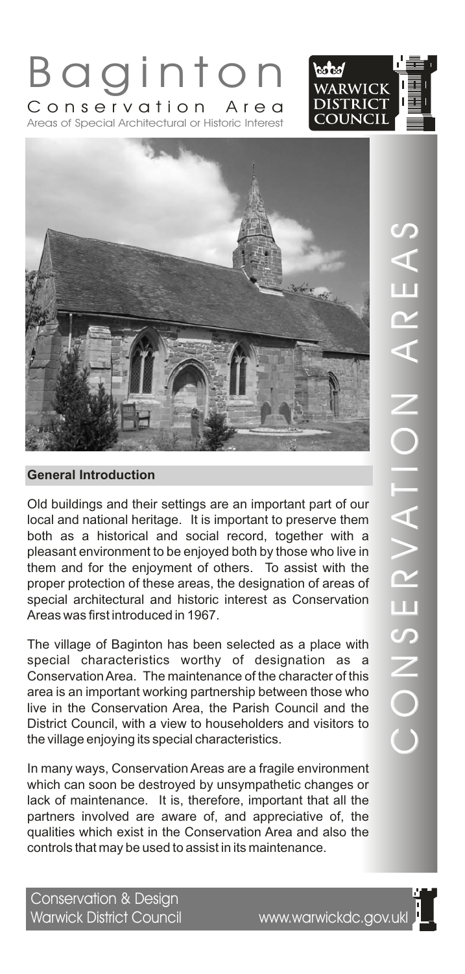



B a g i n t o n

Areas of Special Architectural or Historic Interest Conservation Area

Old buildings and their settings are an important part of our local and national heritage. It is important to preserve them both as a historical and social record, together with a pleasant environment to be enjoyed both by those who live in them and for the enjoyment of others. To assist with the proper protection of these areas, the designation of areas of special architectural and historic interest as Conservation Areas was first introduced in 1967.

The village of Baginton has been selected as a place with special characteristics worthy of designation as a Conservation Area. The maintenance of the character of this area is an important working partnership between those who live in the Conservation Area, the Parish Council and the District Council, with a view to householders and visitors to the village enjoying its special characteristics.

In many ways, Conservation Areas are a fragile environment which can soon be destroyed by unsympathetic changes or lack of maintenance. It is, therefore, important that all the partners involved are aware of, and appreciative of, the qualities which exist in the Conservation Area and also the controls that may be used to assist in its maintenance.

 $\bigcirc$ O $\overline{\angle}$  $\boldsymbol{\mathcal{O}}$ E $\boldsymbol{\alpha}$  $>$   $\blacksquare$ A T $\frac{\mathsf{O}}{\mathsf{I}}$   $\parallel$  $\overline{\angle}$  $\triangleleft$  $\boldsymbol{\alpha}$ E $\triangleleft$  $\boldsymbol{\mathcal{C}}$ 

Conservation & Design<br>Warwick District Council

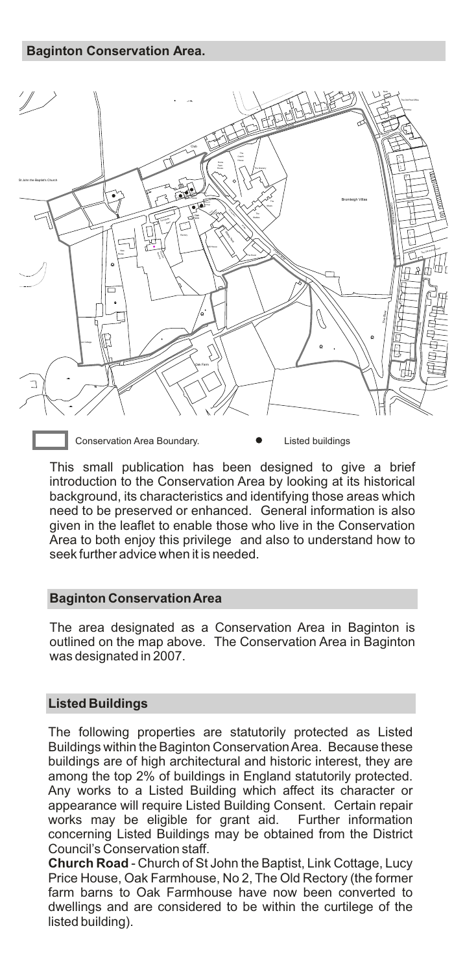#### **Baginton Conservation Area.**



Conservation Area Boundary. **Conservation Area Boundary. Conservation Area Boundary.** 

This small publication has been designed to give a brief introduction to the Conservation Area by looking at its historical background, its characteristics and identifying those areas which need to be preserved or enhanced. General information is also given in the leaflet to enable those who live in the Conservation Area to both enjoy this privilege and also to understand how to seek further advice when it is needed.

## **Baginton Conservation Area**

The area designated as a Conservation Area in Baginton is outlined on the map above. The Conservation Area in Baginton was designated in 2007.

## **Listed Buildings**

The following properties are statutorily protected as Listed Buildings within the Baginton Conservation Area. Because these buildings are of high architectural and historic interest, they are among the top 2% of buildings in England statutorily protected. Any works to a Listed Building which affect its character or appearance will require Listed Building Consent. Certain repair works may be eligible for grant aid. Further information concerning Listed Buildings may be obtained from the District Council's Conservation staff.

**Church Road** - Church of St John the Baptist, Link Cottage, Lucy Price House, Oak Farmhouse, No 2, The Old Rectory (the former farm barns to Oak Farmhouse have now been converted to dwellings and are considered to be within the curtilege of the listed building).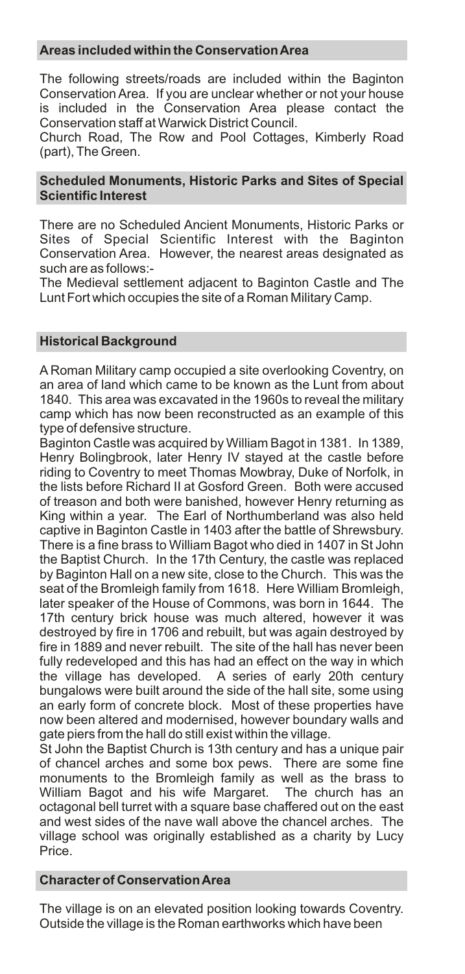## **Areas included within the Conservation Area**

The following streets/roads are included within the Baginton Conservation Area. If you are unclear whether or not your house is included in the Conservation Area please contact the Conservation staff at Warwick District Council.

Church Road, The Row and Pool Cottages, Kimberly Road (part), The Green.

## **Scheduled Monuments, Historic Parks and Sites of Special Scientific Interest**

There are no Scheduled Ancient Monuments, Historic Parks or Sites of Special Scientific Interest with the Baginton Conservation Area. However, the nearest areas designated as such are as follows:-

The Medieval settlement adjacent to Baginton Castle and The Lunt Fort which occupies the site of a Roman Military Camp.

## **Historical Background**

A Roman Military camp occupied a site overlooking Coventry, on an area of land which came to be known as the Lunt from about 1840. This area was excavated in the 1960s to reveal the military camp which has now been reconstructed as an example of this type of defensive structure.

Baginton Castle was acquired by William Bagot in 1381. In 1389, Henry Bolingbrook, later Henry IV stayed at the castle before riding to Coventry to meet Thomas Mowbray, Duke of Norfolk, in the lists before Richard II at Gosford Green. Both were accused of treason and both were banished, however Henry returning as King within a year. The Earl of Northumberland was also held captive in Baginton Castle in 1403 after the battle of Shrewsbury. There is a fine brass to William Bagot who died in 1407 in St John the Baptist Church. In the 17th Century, the castle was replaced by Baginton Hall on a new site, close to the Church. This was the seat of the Bromleigh family from 1618. Here William Bromleigh, later speaker of the House of Commons, was born in 1644. The 17th century brick house was much altered, however it was destroyed by fire in 1706 and rebuilt, but was again destroyed by fire in 1889 and never rebuilt. The site of the hall has never been fully redeveloped and this has had an effect on the way in which the village has developed. A series of early 20th century bungalows were built around the side of the hall site, some using an early form of concrete block. Most of these properties have now been altered and modernised, however boundary walls and gate piers from the hall do still exist within the village.

St John the Baptist Church is 13th century and has a unique pair of chancel arches and some box pews. There are some fine monuments to the Bromleigh family as well as the brass to William Bagot and his wife Margaret. The church has an octagonal bell turret with a square base chaffered out on the east and west sides of the nave wall above the chancel arches. The village school was originally established as a charity by Lucy Price.

#### **Character of Conservation Area**

The village is on an elevated position looking towards Coventry. Outside the village is the Roman earthworks which have been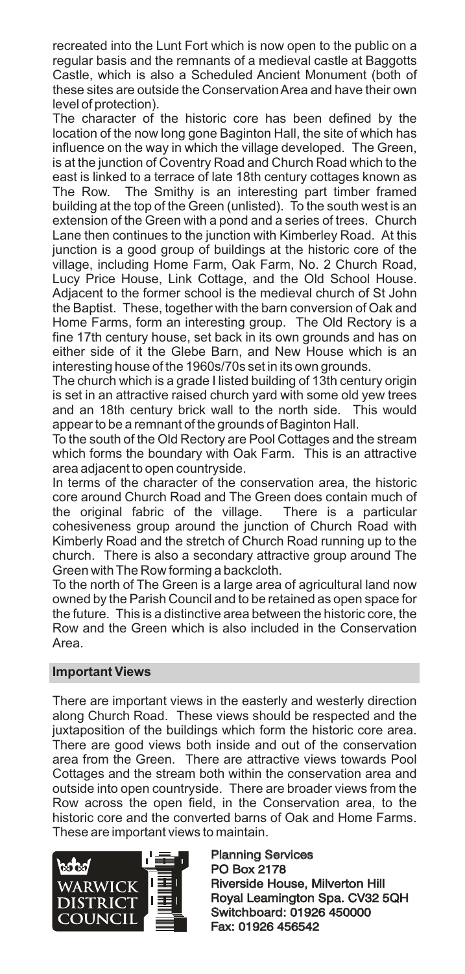recreated into the Lunt Fort which is now open to the public on a regular basis and the remnants of a medieval castle at Baggotts Castle, which is also a Scheduled Ancient Monument (both of these sites are outside the Conservation Area and have their own level of protection).

The character of the historic core has been defined by the location of the now long gone Baginton Hall, the site of which has influence on the way in which the village developed. The Green, is at the junction of Coventry Road and Church Road which to the east is linked to a terrace of late 18th century cottages known as The Row. The Smithy is an interesting part timber framed building at the top of the Green (unlisted). To the south west is an extension of the Green with a pond and a series of trees. Church Lane then continues to the junction with Kimberley Road. At this junction is a good group of buildings at the historic core of the village, including Home Farm, Oak Farm, No. 2 Church Road, Lucy Price House, Link Cottage, and the Old School House. Adjacent to the former school is the medieval church of St John the Baptist. These, together with the barn conversion of Oak and Home Farms, form an interesting group. The Old Rectory is a fine 17th century house, set back in its own grounds and has on either side of it the Glebe Barn, and New House which is an interesting house of the 1960s/70s set in its own grounds.

The church which is a grade I listed building of 13th century origin is set in an attractive raised church yard with some old yew trees and an 18th century brick wall to the north side. This would appear to be a remnant of the grounds of Baginton Hall.

To the south of the Old Rectory are Pool Cottages and the stream which forms the boundary with Oak Farm. This is an attractive area adjacent to open countryside.

In terms of the character of the conservation area, the historic core around Church Road and The Green does contain much of the original fabric of the village. There is a particular the original fabric of the village. cohesiveness group around the junction of Church Road with Kimberly Road and the stretch of Church Road running up to the church. There is also a secondary attractive group around The Green with The Row forming a backcloth.

To the north of The Green is a large area of agricultural land now owned by the Parish Council and to be retained as open space for the future. This is a distinctive area between the historic core, the Row and the Green which is also included in the Conservation Area.

## **Important Views**

There are important views in the easterly and westerly direction along Church Road. These views should be respected and the juxtaposition of the buildings which form the historic core area. There are good views both inside and out of the conservation area from the Green. There are attractive views towards Pool Cottages and the stream both within the conservation area and outside into open countryside. There are broader views from the Row across the open field, in the Conservation area, to the historic core and the converted barns of Oak and Home Farms. These are important views to maintain.



Planning Services PO Box 2178 Planning Services<br>PO Box 2178<br>Riverside House, Milverton Hill Royal Leamington Spa. CV32 5QH Switchboard: 01926 450000 Fax: 01926 456542 Royal Leamington Spa. CV32<br>Switchboard: 01926 450000<br>Fax: 01926 456542